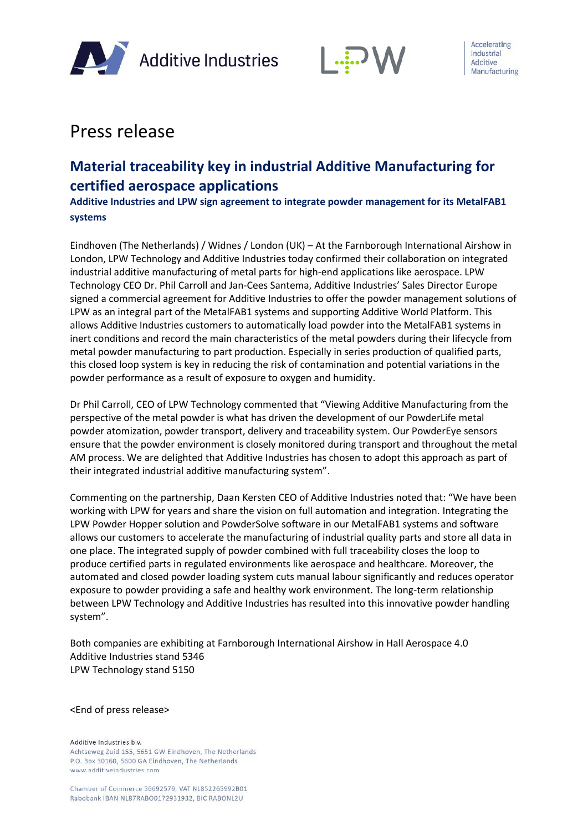



# Press release

## **Material traceability key in industrial Additive Manufacturing for certified aerospace applications**

**Additive Industries and LPW sign agreement to integrate powder management for its MetalFAB1 systems**

Eindhoven (The Netherlands) / Widnes / London (UK) – At the Farnborough International Airshow in London, LPW Technology and Additive Industries today confirmed their collaboration on integrated industrial additive manufacturing of metal parts for high-end applications like aerospace. LPW Technology CEO Dr. Phil Carroll and Jan-Cees Santema, Additive Industries' Sales Director Europe signed a commercial agreement for Additive Industries to offer the powder management solutions of LPW as an integral part of the MetalFAB1 systems and supporting Additive World Platform. This allows Additive Industries customers to automatically load powder into the MetalFAB1 systems in inert conditions and record the main characteristics of the metal powders during their lifecycle from metal powder manufacturing to part production. Especially in series production of qualified parts, this closed loop system is key in reducing the risk of contamination and potential variations in the powder performance as a result of exposure to oxygen and humidity.

Dr Phil Carroll, CEO of LPW Technology commented that "Viewing Additive Manufacturing from the perspective of the metal powder is what has driven the development of our PowderLife metal powder atomization, powder transport, delivery and traceability system. Our PowderEye sensors ensure that the powder environment is closely monitored during transport and throughout the metal AM process. We are delighted that Additive Industries has chosen to adopt this approach as part of their integrated industrial additive manufacturing system".

Commenting on the partnership, Daan Kersten CEO of Additive Industries noted that: "We have been working with LPW for years and share the vision on full automation and integration. Integrating the LPW Powder Hopper solution and PowderSolve software in our MetalFAB1 systems and software allows our customers to accelerate the manufacturing of industrial quality parts and store all data in one place. The integrated supply of powder combined with full traceability closes the loop to produce certified parts in regulated environments like aerospace and healthcare. Moreover, the automated and closed powder loading system cuts manual labour significantly and reduces operator exposure to powder providing a safe and healthy work environment. The long-term relationship between LPW Technology and Additive Industries has resulted into this innovative powder handling system".

Both companies are exhibiting at Farnborough International Airshow in Hall Aerospace 4.0 Additive Industries stand 5346 LPW Technology stand 5150

#### <End of press release>

Additive Industries b.v. Achtseweg Zuid 155, 5651 GW Eindhoven, The Netherlands P.O. Box 30160, 5600 GA Eindhoven, The Netherlands www.additiveindustries.com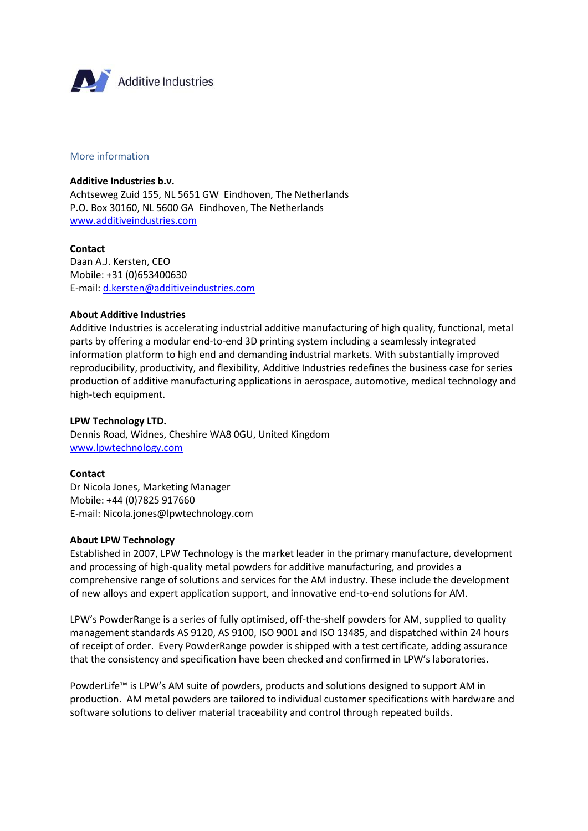

## More information

**Additive Industries b.v.** Achtseweg Zuid 155, NL 5651 GW Eindhoven, The Netherlands P.O. Box 30160, NL 5600 GA Eindhoven, The Netherlands [www.additiveindustries.com](http://www.additiveindustries.com/)

**Contact**  Daan A.J. Kersten, CEO Mobile: +31 (0)653400630 E-mail: [d.kersten@additiveindustries.com](mailto:d.kersten@additiveindustries.com)

#### **About Additive Industries**

Additive Industries is accelerating industrial additive manufacturing of high quality, functional, metal parts by offering a modular end-to-end 3D printing system including a seamlessly integrated information platform to high end and demanding industrial markets. With substantially improved reproducibility, productivity, and flexibility, Additive Industries redefines the business case for series production of additive manufacturing applications in aerospace, automotive, medical technology and high-tech equipment.

## **LPW Technology LTD.**

Dennis Road, Widnes, Cheshire WA8 0GU, United Kingdom [www.lpwtechnology.com](http://www.lpwtechnology.com/)

## **Contact**

Dr Nicola Jones, Marketing Manager Mobile: +44 (0)7825 917660 E-mail: Nicola.jones@lpwtechnology.com

## **About LPW Technology**

Established in 2007, LPW Technology is the market leader in the primary manufacture, development and processing of high-quality metal powders for additive manufacturing, and provides a comprehensive range of solutions and services for the AM industry. These include the development of new alloys and expert application support, and innovative end-to-end solutions for AM.

LPW's PowderRange is a series of fully optimised, off-the-shelf powders for AM, supplied to quality management standards AS 9120, AS 9100, ISO 9001 and ISO 13485, and dispatched within 24 hours of receipt of order. Every PowderRange powder is shipped with a test certificate, adding assurance that the consistency and specification have been checked and confirmed in LPW's laboratories.

PowderLife™ is LPW's AM suite of powders, products and solutions designed to support AM in production. AM metal powders are tailored to individual customer specifications with hardware and software solutions to deliver material traceability and control through repeated builds.